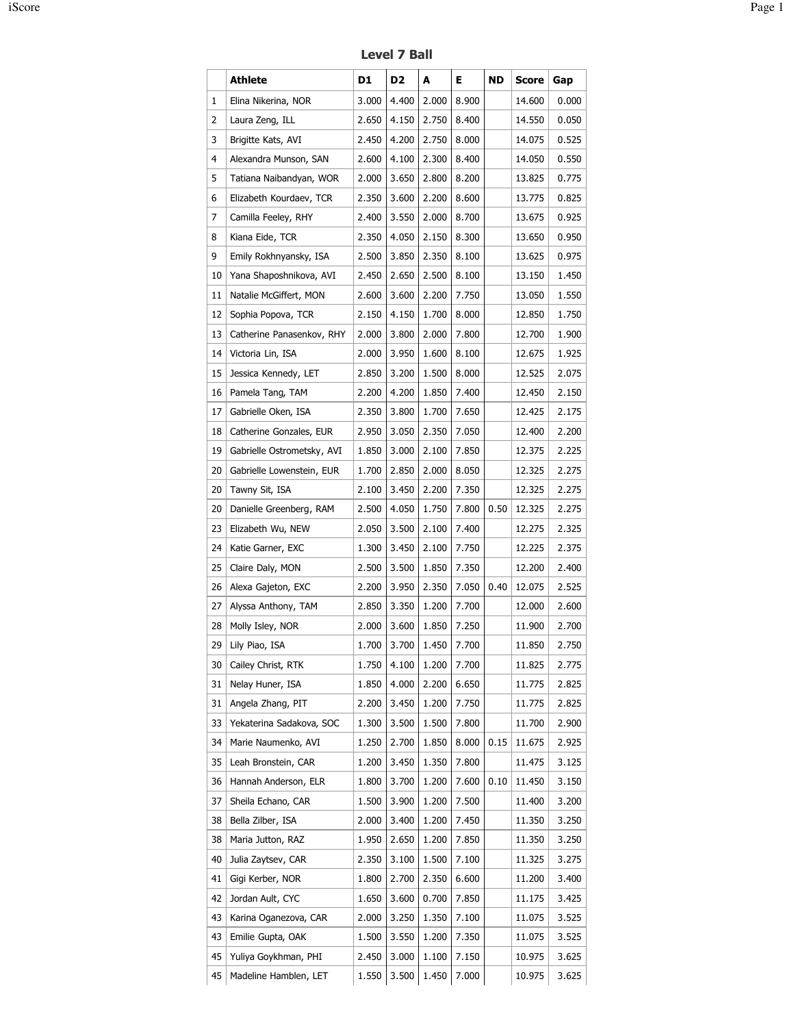Level 7 Ball

|    | <b>Athlete</b>             | D1    | D <sub>2</sub> | A     | Е     | ND   | <b>Score</b> | Gap   |
|----|----------------------------|-------|----------------|-------|-------|------|--------------|-------|
| 1  | Elina Nikerina, NOR        | 3.000 | 4.400          | 2.000 | 8.900 |      | 14.600       | 0.000 |
| 2  | Laura Zeng, ILL            | 2.650 | 4.150          | 2.750 | 8.400 |      | 14.550       | 0.050 |
| 3  | Brigitte Kats, AVI         | 2.450 | 4.200          | 2.750 | 8.000 |      | 14.075       | 0.525 |
| 4  | Alexandra Munson, SAN      | 2.600 | 4.100          | 2.300 | 8.400 |      | 14.050       | 0.550 |
| 5  | Tatiana Naibandyan, WOR    | 2.000 | 3.650          | 2.800 | 8.200 |      | 13.825       | 0.775 |
| 6  | Elizabeth Kourdaev, TCR    | 2.350 | 3.600          | 2.200 | 8.600 |      | 13.775       | 0.825 |
| 7  | Camilla Feeley, RHY        | 2.400 | 3.550          | 2.000 | 8.700 |      | 13.675       | 0.925 |
| 8  | Kiana Eide, TCR            | 2.350 | 4.050          | 2.150 | 8.300 |      | 13.650       | 0.950 |
| 9  | Emily Rokhnyansky, ISA     | 2.500 | 3.850          | 2.350 | 8.100 |      | 13.625       | 0.975 |
| 10 | Yana Shaposhnikova, AVI    | 2.450 | 2.650          | 2.500 | 8.100 |      | 13.150       | 1.450 |
| 11 | Natalie McGiffert, MON     | 2.600 | 3.600          | 2.200 | 7.750 |      | 13.050       | 1.550 |
| 12 | Sophia Popova, TCR         | 2.150 | 4.150          | 1.700 | 8.000 |      | 12.850       | 1.750 |
| 13 | Catherine Panasenkov, RHY  | 2.000 | 3.800          | 2.000 | 7.800 |      | 12.700       | 1.900 |
| 14 | Victoria Lin, ISA          | 2.000 | 3.950          | 1.600 | 8.100 |      | 12.675       | 1.925 |
| 15 | Jessica Kennedy, LET       | 2.850 | 3.200          | 1.500 | 8.000 |      | 12.525       | 2.075 |
| 16 | Pamela Tang, TAM           | 2.200 | 4.200          | 1.850 | 7.400 |      | 12.450       | 2.150 |
| 17 | Gabrielle Oken, ISA        | 2.350 | 3.800          | 1.700 | 7.650 |      | 12.425       | 2.175 |
| 18 | Catherine Gonzales, EUR    | 2.950 | 3.050          | 2.350 | 7.050 |      | 12.400       | 2.200 |
| 19 | Gabrielle Ostrometsky, AVI | 1.850 | 3.000          | 2.100 | 7.850 |      | 12.375       | 2.225 |
| 20 | Gabrielle Lowenstein, EUR  | 1.700 | 2.850          | 2.000 | 8.050 |      | 12.325       | 2.275 |
| 20 | Tawny Sit, ISA             | 2.100 | 3.450          | 2.200 | 7.350 |      | 12.325       | 2.275 |
| 20 | Danielle Greenberg, RAM    | 2.500 | 4.050          | 1.750 | 7.800 | 0.50 | 12.325       | 2.275 |
| 23 | Elizabeth Wu, NEW          | 2.050 | 3.500          | 2.100 | 7.400 |      | 12.275       | 2.325 |
| 24 | Katie Garner, EXC          | 1.300 | 3.450          | 2.100 | 7.750 |      | 12.225       | 2.375 |
| 25 | Claire Daly, MON           | 2.500 | 3.500          | 1.850 | 7.350 |      | 12.200       | 2.400 |
| 26 | Alexa Gajeton, EXC         | 2.200 | 3.950          | 2.350 | 7.050 | 0.40 | 12.075       | 2.525 |
| 27 | Alyssa Anthony, TAM        | 2.850 | 3.350          | 1.200 | 7.700 |      | 12.000       | 2.600 |
| 28 | Molly Isley, NOR           | 2.000 | 3.600          | 1.850 | 7.250 |      | 11.900       | 2.700 |
| 29 | Lily Piao, ISA             | 1.700 | 3.700          | 1.450 | 7.700 |      | 11.850       | 2.750 |
| 30 | Cailey Christ, RTK         | 1.750 | 4.100          | 1.200 | 7.700 |      | 11.825       | 2.775 |
| 31 | Nelay Huner, ISA           | 1.850 | 4.000          | 2.200 | 6.650 |      | 11.775       | 2.825 |
| 31 | Angela Zhang, PIT          | 2.200 | 3.450          | 1.200 | 7.750 |      | 11.775       | 2.825 |
| 33 | Yekaterina Sadakova, SOC   | 1.300 | 3.500          | 1.500 | 7.800 |      | 11.700       | 2.900 |
| 34 | Marie Naumenko, AVI        | 1.250 | 2.700          | 1.850 | 8.000 | 0.15 | 11.675       | 2.925 |
| 35 | Leah Bronstein, CAR        | 1.200 | 3.450          | 1.350 | 7.800 |      | 11.475       | 3.125 |
| 36 | Hannah Anderson, ELR       | 1.800 | 3.700          | 1.200 | 7.600 | 0.10 | 11.450       | 3.150 |
| 37 | Sheila Echano, CAR         | 1.500 | 3.900          | 1.200 | 7.500 |      | 11.400       | 3.200 |
| 38 | Bella Zilber, ISA          | 2.000 | 3.400          | 1.200 | 7.450 |      | 11.350       | 3.250 |
| 38 | Maria Jutton, RAZ          | 1.950 | 2.650          | 1.200 | 7.850 |      | 11.350       | 3.250 |
| 40 | Julia Zaytsev, CAR         | 2.350 | 3.100          | 1.500 | 7.100 |      | 11.325       | 3.275 |
| 41 | Gigi Kerber, NOR           | 1.800 | 2.700          | 2.350 | 6.600 |      | 11.200       | 3.400 |
| 42 | Jordan Ault, CYC           | 1.650 | 3.600          | 0.700 | 7.850 |      | 11.175       | 3.425 |
| 43 | Karina Oganezova, CAR      | 2.000 | 3.250          | 1.350 | 7.100 |      | 11.075       | 3.525 |
| 43 | Emilie Gupta, OAK          | 1.500 | 3.550          | 1.200 | 7.350 |      | 11.075       | 3.525 |
| 45 | Yuliya Goykhman, PHI       | 2.450 | 3.000          | 1.100 | 7.150 |      | 10.975       | 3.625 |
| 45 | Madeline Hamblen, LET      | 1.550 | 3.500          | 1.450 | 7.000 |      | 10.975       | 3.625 |